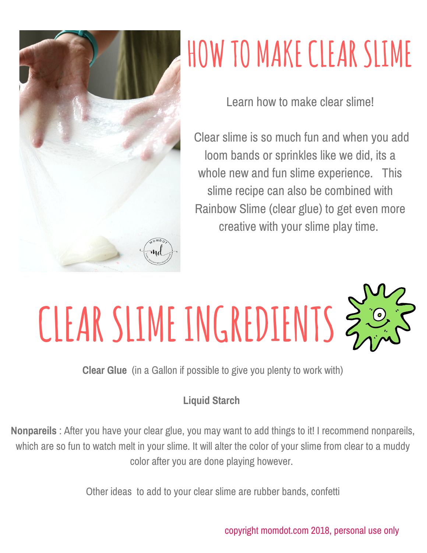

## **HOW TO MAKECLEARSLIME**

Learn how to make clear slime!

Clear slime is so much fun and when you add loom bands or sprinkles like we did, its a whole new and fun slime experience. This slime recipe can also be combined with Rainbow Slime (clear glue) to get even more creative with your slime play time.

## **CLEARSLIME INGREDIENTS**

**Clear Glue** (in a Gallon if possible to give you plenty to work with)

## **Liquid Starch**

**Nonpareils** : After you have your clear glue, you may want to add things to it! I recommend nonpareils, which are so fun to watch melt in your slime. It will alter the color of your slime from clear to a muddy color after you are done playing however.

Other ideas to add to your clear slime are rubber bands, confetti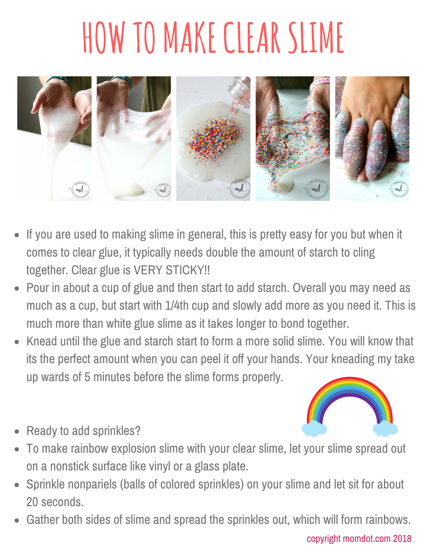## **HOW TO MAKECLEARSLIME**



- If you are used to making slime in general, this is pretty easy for you but when it comes to clear glue, it typically needs double the amount of starch to cling together. Clear glue is VERY STICKY!!
- Pour in about a cup of glue and then start to add starch. Overall you may need as  $\bullet$ much as a cup, but start with 1/4th cup and slowly add more as you need it. This is much more than white glue slime as it takes longer to bond together.
- Knead until the glue and starch start to form a more solid slime. You will know that its the perfect amount when you can peel it off your hands. Your kneading my take up wards of 5 minutes before the slime forms properly.
	-
- Ready to add sprinkles?
- To make rainbow explosion slime with your clear slime, let your slime spread out on a nonstick surface like vinyl or a glass plate.
- Sprinkle nonpariels (balls of colored sprinkles) on your slime and let sit for about 20 seconds.
- Gather both sides of slime and spread the sprinkles out, which will form rainbows.